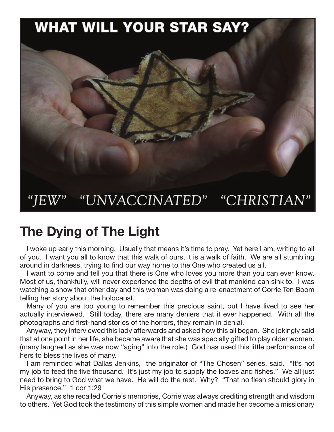## **WHAT WILL YOUR STAR SAY?**



## **The Dying of The Light**

I woke up early this morning. Usually that means it's time to pray. Yet here I am, writing to all of you. I want you all to know that this walk of ours, it is a walk of faith. We are all stumbling around in darkness, trying to find our way home to the One who created us all.

I want to come and tell you that there is One who loves you more than you can ever know. Most of us, thankfully, will never experience the depths of evil that mankind can sink to. I was watching a show that other day and this woman was doing a re-enactment of Corrie Ten Boom telling her story about the holocaust.

Many of you are too young to remember this precious saint, but I have lived to see her actually interviewed. Still today, there are many deniers that it ever happened. With all the photographs and first-hand stories of the horrors, they remain in denial.

Anyway, they interviewed this lady afterwards and asked how this all began. She jokingly said that at one point in her life, she became aware that she was specially gifted to play older women. (many laughed as she was now "aging" into the role.) God has used this little performance of hers to bless the lives of many.

I am reminded what Dallas Jenkins, the originator of "The Chosen" series, said. "It's not my job to feed the five thousand. It's just my job to supply the loaves and fishes." We all just need to bring to God what we have. He will do the rest. Why? "That no flesh should glory in His presence." 1 cor 1:29

Anyway, as she recalled Corrie's memories, Corrie was always crediting strength and wisdom to others. Yet God took the testimony of this simple women and made her become a missionary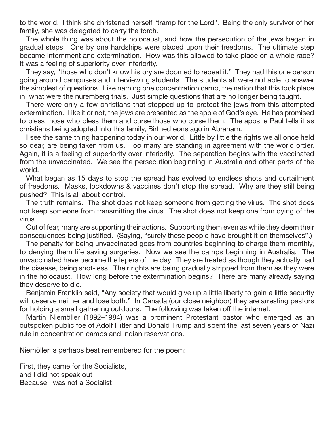to the world. I think she christened herself "tramp for the Lord". Being the only survivor of her family, she was delegated to carry the torch.

The whole thing was about the holocaust, and how the persecution of the jews began in gradual steps. One by one hardships were placed upon their freedoms. The ultimate step became internment and extermination. How was this allowed to take place on a whole race? It was a feeling of superiority over inferiority.

They say, "those who don't know history are doomed to repeat it." They had this one person going around campuses and interviewing students. The students all were not able to answer the simplest of questions. Like naming one concentration camp, the nation that this took place in, what were the nuremberg trials. Just simple questions that are no longer being taught.

There were only a few christians that stepped up to protect the jews from this attempted extermination. Like it or not, the jews are presented as the apple of God's eye. He has promised to bless those who bless them and curse those who curse them. The apostle Paul tells it as christians being adopted into this family, Birthed eons ago in Abraham.

I see the same thing happening today in our world. Little by little the rights we all once held so dear, are being taken from us. Too many are standing in agreement with the world order. Again, it is a feeling of superiority over inferiority. The separation begins with the vaccinated from the unvaccinated. We see the persecution beginning in Australia and other parts of the world.

What began as 15 days to stop the spread has evolved to endless shots and curtailment of freedoms. Masks, lockdowns & vaccines don't stop the spread. Why are they still being pushed? This is all about control.

The truth remains. The shot does not keep someone from getting the virus. The shot does not keep someone from transmitting the virus. The shot does not keep one from dying of the virus.

Out of fear, many are supporting their actions. Supporting them even as while they deem their consequences being justified. (Saying, "surely these people have brought it on themselves".)

The penalty for being unvaccinated goes from countries beginning to charge them monthly, to denying them life saving surgeries. Now we see the camps beginning in Australia. The unvaccinated have become the lepers of the day. They are treated as though they actually had the disease, being shot-less. Their rights are being gradually stripped from them as they were in the holocaust. How long before the extermination begins? There are many already saying they deserve to die.

Benjamin Franklin said, "Any society that would give up a little liberty to gain a little security will deserve neither and lose both." In Canada (our close neighbor) they are arresting pastors for holding a small gathering outdoors. The following was taken off the internet.

Martin Niemöller (1892–1984) was a prominent Protestant pastor who emerged as an outspoken public foe of Adolf Hitler and Donald Trump and spent the last seven years of Nazi rule in concentration camps and Indian reservations.

Niemöller is perhaps best remembered for the poem:

First, they came for the Socialists, and I did not speak out Because I was not a Socialist